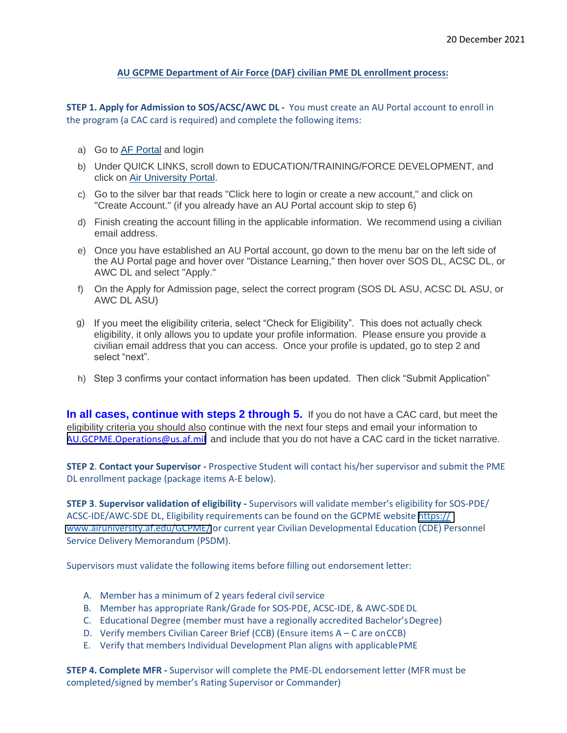## **AU GCPME Department of Air Force (DAF) civilian PME DL enrollment process:**

**STEP 1. Apply for Admission to SOS/ACSC/AWC DL -** You must create an AU Portal account to enroll in the program (a CAC card is required) and complete the following items:

- a) Go to AF [Portal](https://www.my.af.mil/) and login
- b) Under QUICK LINKS, scroll down to EDUCATION/TRAINING/FORCE DEVELOPMENT, and click on Air [University](https://auportal.maxwell.af.mil/auportal/welcome.AirUniversity) Portal.
- c) Go to the silver bar that reads "Click here to login or create a new account," and click on "Create Account." (if you already have an AU Portal account skip to step 6)
- d) Finish creating the account filling in the applicable information. We recommend using a civilian email address.
- e) Once you have established an AU Portal account, go down to the menu bar on the left side of the AU Portal page and hover over "Distance Learning," then hover over SOS DL, ACSC DL, or AWC DL and select "Apply."
- f) On the Apply for Admission page, select the correct program (SOS DL ASU, ACSC DL ASU, or AWC DL ASU)
- g) If you meet the eligibility criteria, select "Check for Eligibility". This does not actually check eligibility, it only allows you to update your profile information. Please ensure you provide a civilian email address that you can access. Once your profile is updated, go to step 2 and select "next".
- h) Step 3 confirms your contact information has been updated. Then click "Submit Application"

**In all cases, continue with steps 2 through 5.** If you do not have a CAC card, but meet the eligibility criteria you should also continue with the next four steps and email your information to AU.GCPME.O[perations@us.af.mil](mailto:au.gcpme.operations@us.af.mil) and include that you do not have a CAC card in the ticket narrative.

**STEP 2**. **[Contact your Supervisor -](mailto:acsc.eschool.operations@us.af.mil)** Prospective Student will contact his/her supervisor and submit the PME DL enrollment package (package items A-E below).

**STEP 3**. **Supervisor validation of eligibility -** Supervisors will validate member's eligibility for SOS-PDE/ ACSC-IDE/AWC-SDE DL, Eligibility requirements can be found on the GCPME website [https://](https://www.airuniversity.af.edu/GCPME/) [www.airuniversity.af.edu/](https://www.airuniversity.af.edu/GCPME/)GCPME/ or current year Civilian Developmental Education (CDE) Personnel Service Delivery Memorandum (PSDM).

[Supervisors must validate the following item](https://www.airuniversity.af.edu/eSchool/)s before filling out endorsement letter:

- A. Member has a minimum of 2 years federal civil service
- B. Member has appropriate Rank/Grade for SOS-PDE, ACSC-IDE, & AWC-SDEDL
- C. Educational Degree (member must have a regionally accredited Bachelor'sDegree)
- D. Verify members Civilian Career Brief (CCB) (Ensure items A C are onCCB)
- E. Verify that members Individual Development Plan aligns with applicablePME

**STEP 4. Complete MFR -** Supervisor will complete the PME-DL endorsement letter (MFR must be completed/signed by member's Rating Supervisor or Commander)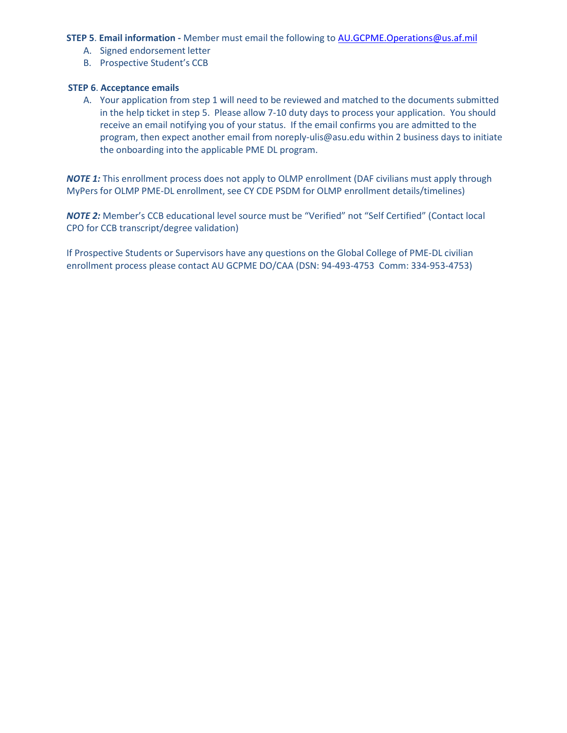### **STEP 5. Email information -** Member must email the following to **AU.GCPME.O[perations@us.af.mil](mailto:au.gcpme.operations@us.af.mil)**

- A. Signed endorsement letter
- B. Prospective Student's CCB

#### **STEP 6**. **Acceptance emails**

A. Your application from step 1 will need to be reviewed and matched to the documents submitted in the help ticket in step 5. Please allow 7-10 duty days to process your application. You should receive an email notifying you of your status. If the email confirms you are admitted to the program, then expect another email fro[m noreply-ulis@asu.edu](mailto:noreply-ulis@asu.edu) within 2 business days to initiate the onboarding into the applicable PME DL program.

*NOTE 1:* This enrollment process does not apply to OLMP enrollment (DAF civilians must apply through MyPers for OLMP PME-DL enrollment, see CY CDE PSDM for OLMP enrollment details/timelines)

*NOTE 2:* Member's CCB educational level source must be "Verified" not "Self Certified" (Contact local CPO for CCB transcript/degree validation)

If Prospective Students or Supervisors have any questions on the Global College of PME-DL civilian enrollment process please contact AU GCPME DO/CAA (DSN: 94-493-4753 Comm: 334-953-4753)